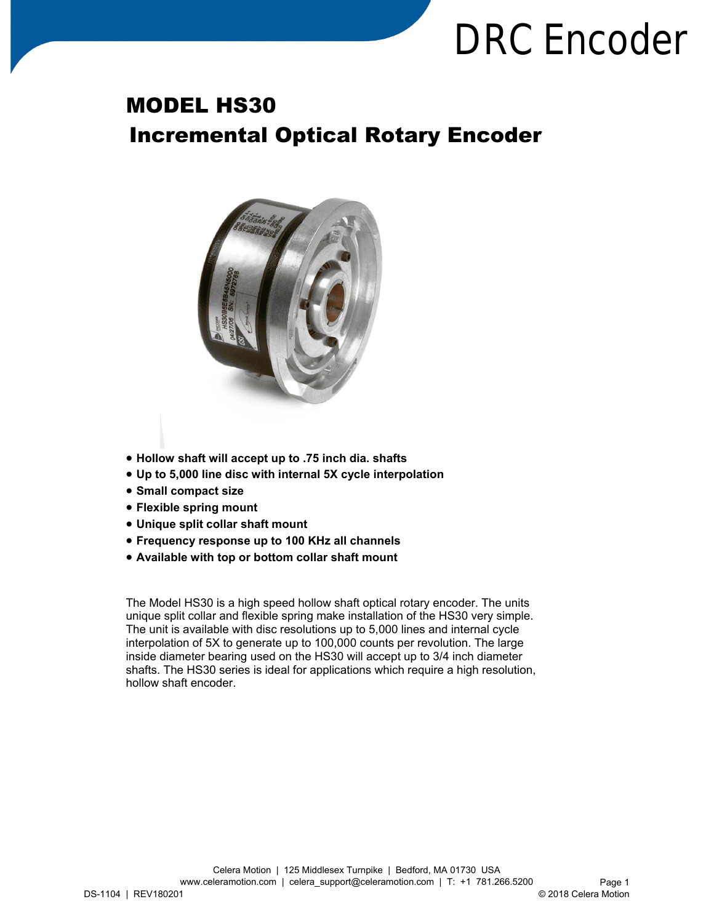# **DRC Encoder**

### MODEL HS30 Incremental Optical Rotary Encoder



- **Hollow shaft will accept up to .75 inch dia. shafts**
- **Up to 5,000 line disc with internal 5X cycle interpolation**
- **Small compact size**
- **Flexible spring mount**
- **Unique split collar shaft mount**
- **Frequency response up to 100 KHz all channels**
- **Available with top or bottom collar shaft mount**

The Model HS30 is a high speed hollow shaft optical rotary encoder. The units unique split collar and flexible spring make installation of the HS30 very simple. The unit is available with disc resolutions up to 5,000 lines and internal cycle interpolation of 5X to generate up to 100,000 counts per revolution. The large inside diameter bearing used on the HS30 will accept up to 3/4 inch diameter shafts. The HS30 series is ideal for applications which require a high resolution, hollow shaft encoder.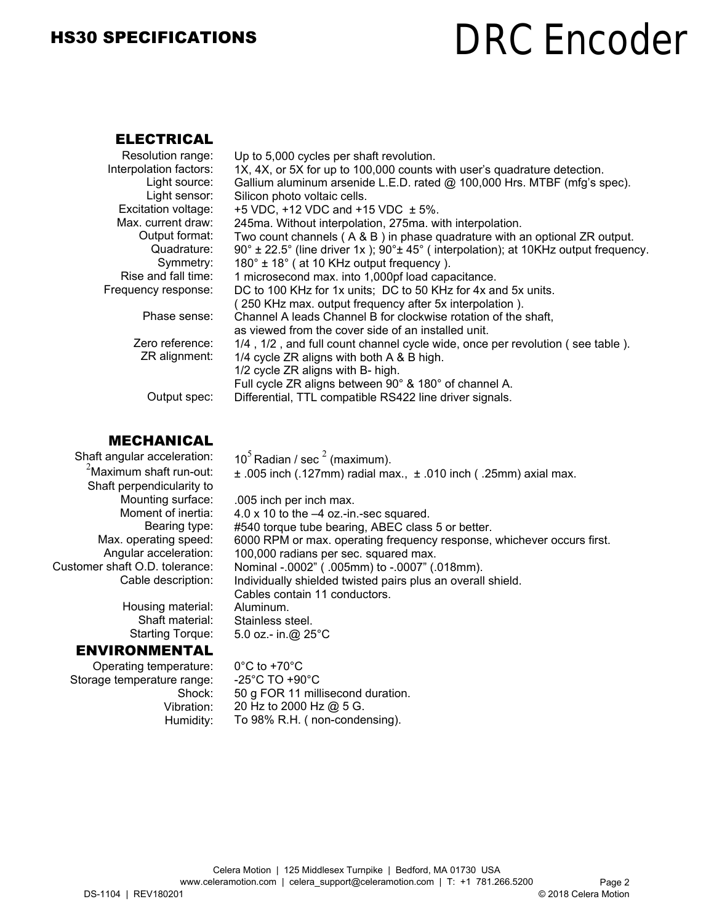### HS30 SPECIFICATIONS

## **DRC Encoder**

#### ELECTRICAL

| Resolution range:      | Up to 5,000 cycles per shaft revolution.                                                              |
|------------------------|-------------------------------------------------------------------------------------------------------|
| Interpolation factors: | 1X, 4X, or 5X for up to 100,000 counts with user's quadrature detection.                              |
| Light source:          | Gallium aluminum arsenide L.E.D. rated @ 100,000 Hrs. MTBF (mfg's spec).                              |
| Light sensor:          | Silicon photo voltaic cells.                                                                          |
| Excitation voltage:    | +5 VDC, +12 VDC and +15 VDC $\pm$ 5%.                                                                 |
| Max. current draw:     | 245ma. Without interpolation, 275ma. with interpolation.                                              |
| Output format:         | Two count channels (A & B) in phase quadrature with an optional ZR output.                            |
| Quadrature:            | $90^{\circ}$ ± 22.5° (line driver 1x); $90^{\circ}$ ± 45° (interpolation); at 10KHz output frequency. |
| Symmetry:              | $180^\circ \pm 18^\circ$ (at 10 KHz output frequency).                                                |
| Rise and fall time:    | 1 microsecond max. into 1,000pf load capacitance.                                                     |
| Frequency response:    | DC to 100 KHz for 1x units; DC to 50 KHz for 4x and 5x units.                                         |
|                        | (250 KHz max. output frequency after 5x interpolation).                                               |
| Phase sense:           | Channel A leads Channel B for clockwise rotation of the shaft,                                        |
|                        | as viewed from the cover side of an installed unit.                                                   |
| Zero reference:        | 1/4, 1/2, and full count channel cycle wide, once per revolution (see table).                         |
| ZR alignment:          | 1/4 cycle ZR aligns with both A & B high.                                                             |
|                        | 1/2 cycle ZR aligns with B- high.                                                                     |
|                        | Full cycle ZR aligns between 90° & 180° of channel A.                                                 |
| Output spec:           | Differential, TTL compatible RS422 line driver signals.                                               |

#### MECHANICAL

 Shaft angular acceleration:  $^{2}$ Maximum shaft run-out: Shaft perpendicularity to Mounting surface: Moment of inertia: Bearing type: Max. operating speed: Angular acceleration: Customer shaft O.D. tolerance: Cable description:

> Housing material: Shaft material: Starting Torque:

#### ENVIRONMENTAL

Operating temperature: Storage temperature range: Shock: Vibration: Humidity:

.005 inch per inch max. 4.0 x 10 to the –4 oz.-in.-sec squared. #540 torque tube bearing, ABEC class 5 or better. 6000 RPM or max. operating frequency response, whichever occurs first. 100,000 radians per sec. squared max. Nominal -.0002" ( .005mm) to -.0007" (.018mm). Individually shielded twisted pairs plus an overall shield. Cables contain 11 conductors. Aluminum. Stainless steel. 5.0 oz.- in.@ 25°C

 $\pm$  .005 inch (.127mm) radial max.,  $\pm$  .010 inch (.25mm) axial max.

0°C to +70°C -25°C TO +90°C 50 g FOR 11 millisecond duration. 20 Hz to 2000 Hz @ 5 G. To 98% R.H. ( non-condensing).

10<sup>5</sup> Radian / sec<sup>2</sup> (maximum).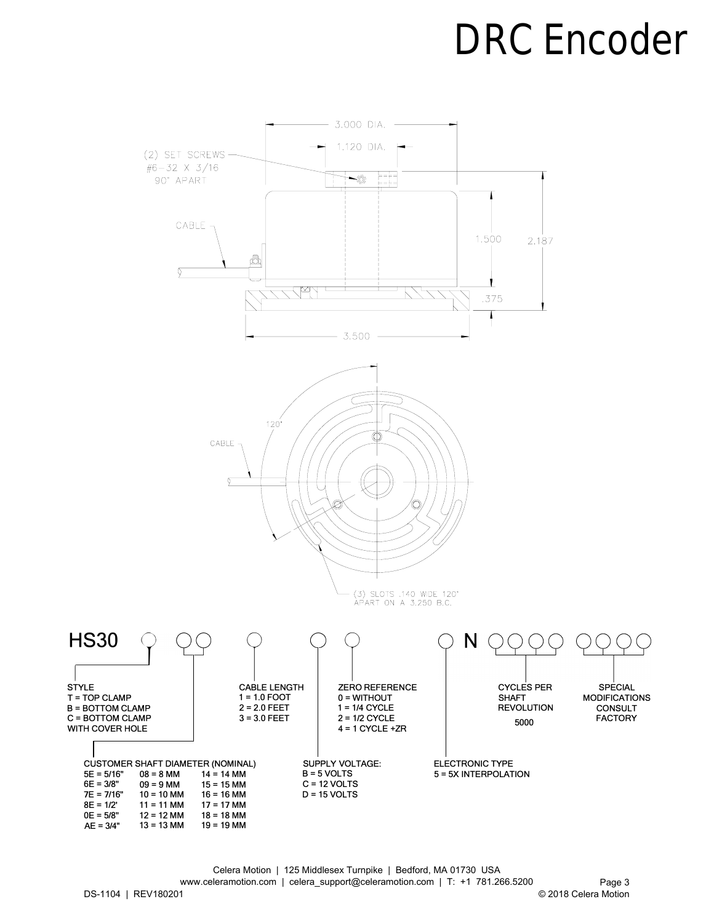### **DRC Encoder**